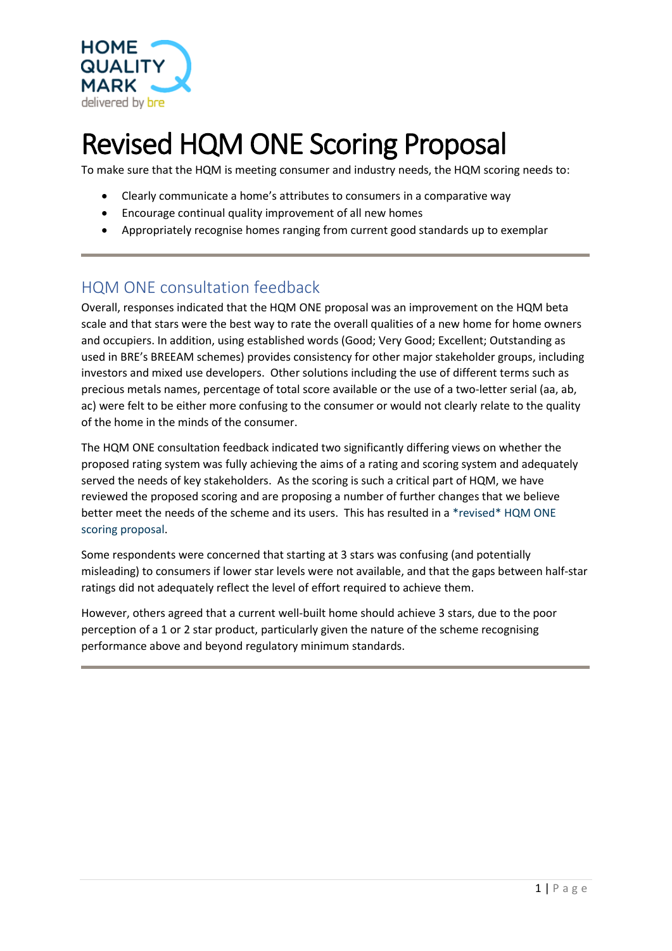

# Revised HQM ONE Scoring Proposal

To make sure that the HQM is meeting consumer and industry needs, the HQM scoring needs to:

- Clearly communicate a home's attributes to consumers in a comparative way
- Encourage continual quality improvement of all new homes
- Appropriately recognise homes ranging from current good standards up to exemplar

## HQM ONE consultation feedback

Overall, responses indicated that the HQM ONE proposal was an improvement on the HQM beta scale and that stars were the best way to rate the overall qualities of a new home for home owners and occupiers. In addition, using established words (Good; Very Good; Excellent; Outstanding as used in BRE's BREEAM schemes) provides consistency for other major stakeholder groups, including investors and mixed use developers. Other solutions including the use of different terms such as precious metals names, percentage of total score available or the use of a two-letter serial (aa, ab, ac) were felt to be either more confusing to the consumer or would not clearly relate to the quality of the home in the minds of the consumer.

The HQM ONE consultation feedback indicated two significantly differing views on whether the proposed rating system was fully achieving the aims of a rating and scoring system and adequately served the needs of key stakeholders. As the scoring is such a critical part of HQM, we have reviewed the proposed scoring and are proposing a number of further changes that we believe better meet the needs of the scheme and its users. This has resulted in a \*revised\* HQM ONE scoring proposal.

Some respondents were concerned that starting at 3 stars was confusing (and potentially misleading) to consumers if lower star levels were not available, and that the gaps between half-star ratings did not adequately reflect the level of effort required to achieve them.

However, others agreed that a current well-built home should achieve 3 stars, due to the poor perception of a 1 or 2 star product, particularly given the nature of the scheme recognising performance above and beyond regulatory minimum standards.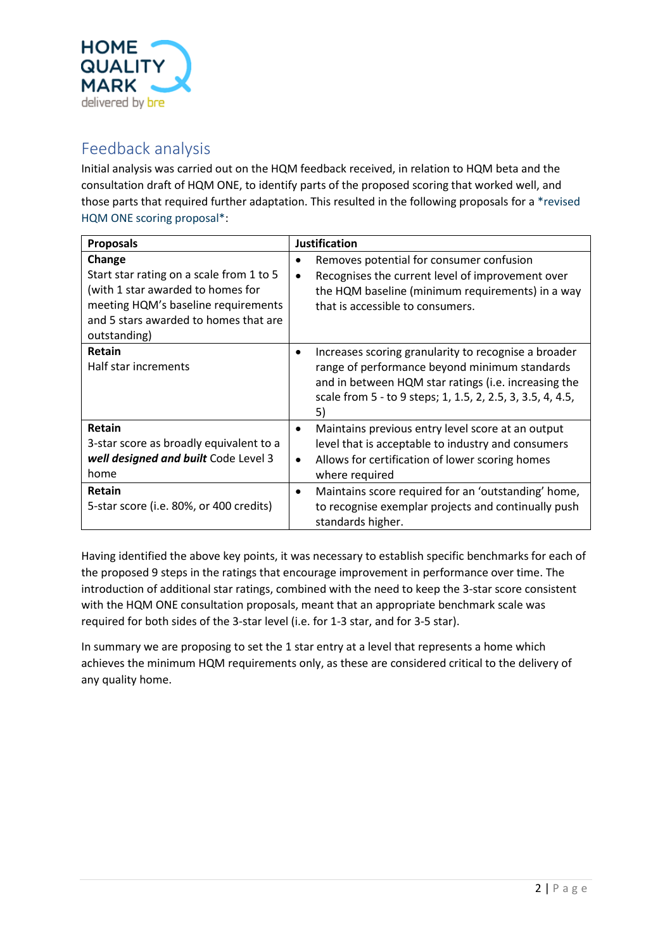

### Feedback analysis

Initial analysis was carried out on the HQM feedback received, in relation to HQM beta and the consultation draft of HQM ONE, to identify parts of the proposed scoring that worked well, and those parts that required further adaptation. This resulted in the following proposals for a \*revised HQM ONE scoring proposal\*:

| <b>Proposals</b>                                                                                                                                                                        | <b>Justification</b>                                                                                                                                                                                                              |  |  |
|-----------------------------------------------------------------------------------------------------------------------------------------------------------------------------------------|-----------------------------------------------------------------------------------------------------------------------------------------------------------------------------------------------------------------------------------|--|--|
| Change<br>Start star rating on a scale from 1 to 5<br>(with 1 star awarded to homes for<br>meeting HQM's baseline requirements<br>and 5 stars awarded to homes that are<br>outstanding) | Removes potential for consumer confusion<br>Recognises the current level of improvement over<br>$\bullet$<br>the HQM baseline (minimum requirements) in a way<br>that is accessible to consumers.                                 |  |  |
| Retain<br>Half star increments                                                                                                                                                          | Increases scoring granularity to recognise a broader<br>range of performance beyond minimum standards<br>and in between HQM star ratings (i.e. increasing the<br>scale from 5 - to 9 steps; 1, 1.5, 2, 2.5, 3, 3.5, 4, 4.5,<br>5) |  |  |
| Retain<br>3-star score as broadly equivalent to a<br>well designed and built Code Level 3<br>home                                                                                       | Maintains previous entry level score at an output<br>level that is acceptable to industry and consumers<br>Allows for certification of lower scoring homes<br>$\bullet$<br>where required                                         |  |  |
| Retain<br>5-star score (i.e. 80%, or 400 credits)                                                                                                                                       | Maintains score required for an 'outstanding' home,<br>to recognise exemplar projects and continually push<br>standards higher.                                                                                                   |  |  |

Having identified the above key points, it was necessary to establish specific benchmarks for each of the proposed 9 steps in the ratings that encourage improvement in performance over time. The introduction of additional star ratings, combined with the need to keep the 3-star score consistent with the HQM ONE consultation proposals, meant that an appropriate benchmark scale was required for both sides of the 3-star level (i.e. for 1-3 star, and for 3-5 star).

In summary we are proposing to set the 1 star entry at a level that represents a home which achieves the minimum HQM requirements only, as these are considered critical to the delivery of any quality home.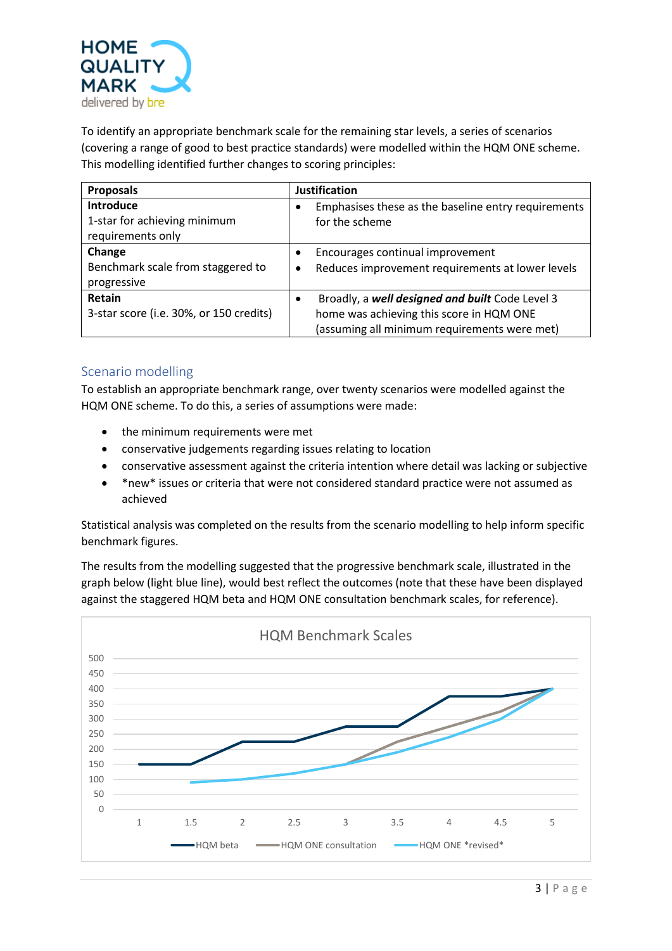

To identify an appropriate benchmark scale for the remaining star levels, a series of scenarios (covering a range of good to best practice standards) were modelled within the HQM ONE scheme. This modelling identified further changes to scoring principles:

| <b>Proposals</b>                                                      | <b>Justification</b>                                                                                                                                     |
|-----------------------------------------------------------------------|----------------------------------------------------------------------------------------------------------------------------------------------------------|
| <b>Introduce</b><br>1-star for achieving minimum<br>requirements only | Emphasises these as the baseline entry requirements<br>for the scheme                                                                                    |
| Change<br>Benchmark scale from staggered to<br>progressive            | Encourages continual improvement<br>Reduces improvement requirements at lower levels<br>٠                                                                |
| Retain<br>3-star score (i.e. 30%, or 150 credits)                     | Broadly, a well designed and built Code Level 3<br>$\bullet$<br>home was achieving this score in HQM ONE<br>(assuming all minimum requirements were met) |

#### Scenario modelling

To establish an appropriate benchmark range, over twenty scenarios were modelled against the HQM ONE scheme. To do this, a series of assumptions were made:

- the minimum requirements were met
- conservative judgements regarding issues relating to location
- conservative assessment against the criteria intention where detail was lacking or subjective
- \*new\* issues or criteria that were not considered standard practice were not assumed as achieved

Statistical analysis was completed on the results from the scenario modelling to help inform specific benchmark figures.

The results from the modelling suggested that the progressive benchmark scale, illustrated in the graph below (light blue line), would best reflect the outcomes (note that these have been displayed against the staggered HQM beta and HQM ONE consultation benchmark scales, for reference).

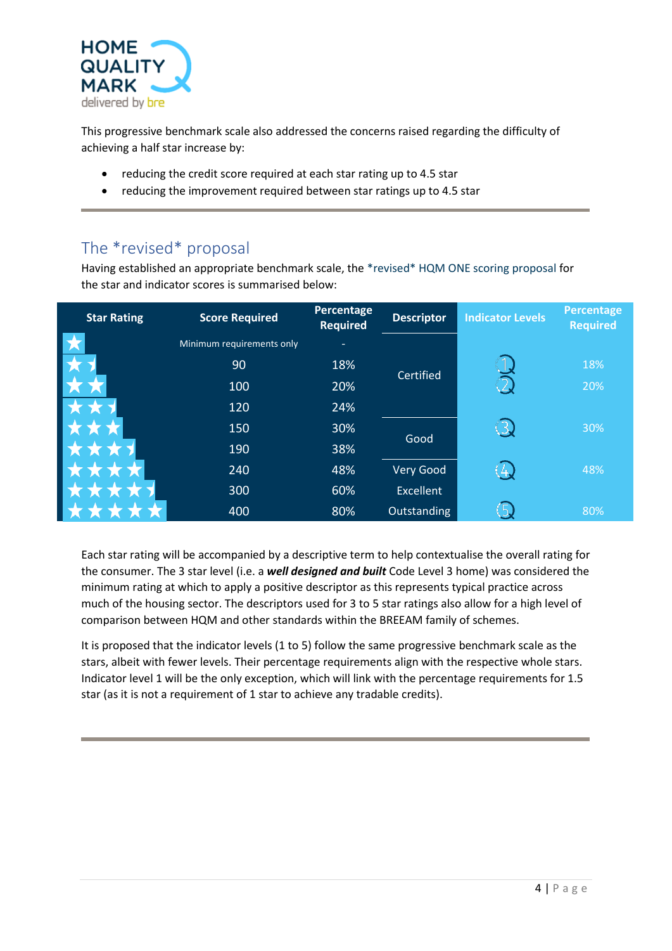

This progressive benchmark scale also addressed the concerns raised regarding the difficulty of achieving a half star increase by:

- reducing the credit score required at each star rating up to 4.5 star
- reducing the improvement required between star ratings up to 4.5 star

## The \*revised\* proposal

Having established an appropriate benchmark scale, the \*revised\* HQM ONE scoring proposal for the star and indicator scores is summarised below:

| <b>Star Rating</b> | <b>Score Required</b>     | Percentage<br><b>Required</b> | <b>Descriptor</b> | <b>Indicator Levels</b> | Percentage<br><b>Required</b> |
|--------------------|---------------------------|-------------------------------|-------------------|-------------------------|-------------------------------|
| ★                  | Minimum requirements only |                               |                   |                         |                               |
|                    | 90                        | 18%                           | Certified         |                         | 18%                           |
|                    | 100                       | 20%                           |                   |                         | 20%                           |
|                    | 120                       | 24%                           |                   |                         |                               |
| W                  | 150                       | 30%                           | Good              |                         | 30%                           |
|                    | 190                       | 38%                           |                   |                         |                               |
|                    | 240                       | 48%                           | Very Good         |                         | 48%                           |
|                    | 300                       | 60%                           | Excellent         |                         |                               |
|                    | 400                       | 80%                           | Outstanding       | ר                       | 80%                           |

Each star rating will be accompanied by a descriptive term to help contextualise the overall rating for the consumer. The 3 star level (i.e. a *well designed and built* Code Level 3 home) was considered the minimum rating at which to apply a positive descriptor as this represents typical practice across much of the housing sector. The descriptors used for 3 to 5 star ratings also allow for a high level of comparison between HQM and other standards within the BREEAM family of schemes.

It is proposed that the indicator levels (1 to 5) follow the same progressive benchmark scale as the stars, albeit with fewer levels. Their percentage requirements align with the respective whole stars. Indicator level 1 will be the only exception, which will link with the percentage requirements for 1.5 star (as it is not a requirement of 1 star to achieve any tradable credits).